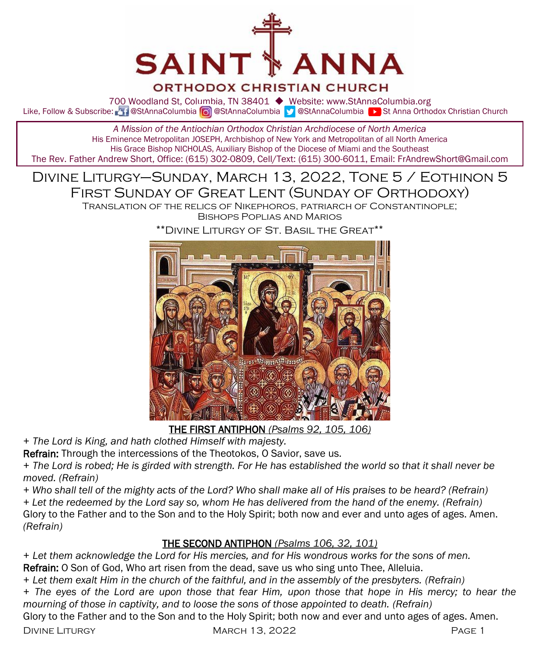

#### **ORTHODOX CHRISTIAN CHURCH**

700 Woodland St, Columbia, TN 38401 ◆ Website: www.StAnnaColumbia.org Like, Follow & Subscribe: **Manufold annaColumbia @StAnnaColumbia Manufold Manufold Anna Orthodox Christian Church** 

*A Mission of the Antiochian Orthodox Christian Archdiocese of North America* His Eminence Metropolitan JOSEPH, Archbishop of New York and Metropolitan of all North America His Grace Bishop NICHOLAS, Auxiliary Bishop of the Diocese of Miami and the Southeast The Rev. Father Andrew Short, Office: (615) 302-0809, Cell/Text: (615) 300-6011, Email: FrAndrewShort@Gmail.com

# Divine Liturgy–Sunday, March 13, 2022, Tone 5 / Eothinon 5 First Sunday of Great Lent (Sunday of Orthodoxy)

Translation of the relics of Nikephoros, patriarch of Constantinople; Bishops Poplias and Marios



\*\*Divine Liturgy of St. Basil the Great\*\*

THE FIRST ANTIPHON *(Psalms 92, 105, 106)*

*+ The Lord is King, and hath clothed Himself with majesty.* 

Refrain: Through the intercessions of the Theotokos, O Savior, save us.

*+ The Lord is robed; He is girded with strength. For He has established the world so that it shall never be moved. (Refrain)*

*+ Who shall tell of the mighty acts of the Lord? Who shall make all of His praises to be heard? (Refrain)*

*+ Let the redeemed by the Lord say so, whom He has delivered from the hand of the enemy. (Refrain)*

Glory to the Father and to the Son and to the Holy Spirit; both now and ever and unto ages of ages. Amen. *(Refrain)*

#### THE SECOND ANTIPHON *(Psalms 106, 32, 101)*

*+ Let them acknowledge the Lord for His mercies, and for His wondrous works for the sons of men.* Refrain: O Son of God, Who art risen from the dead, save us who sing unto Thee, Alleluia.

*+ Let them exalt Him in the church of the faithful, and in the assembly of the presbyters. (Refrain)*

*+ The eyes of the Lord are upon those that fear Him, upon those that hope in His mercy; to hear the mourning of those in captivity, and to loose the sons of those appointed to death. (Refrain)*

Glory to the Father and to the Son and to the Holy Spirit; both now and ever and unto ages of ages. Amen.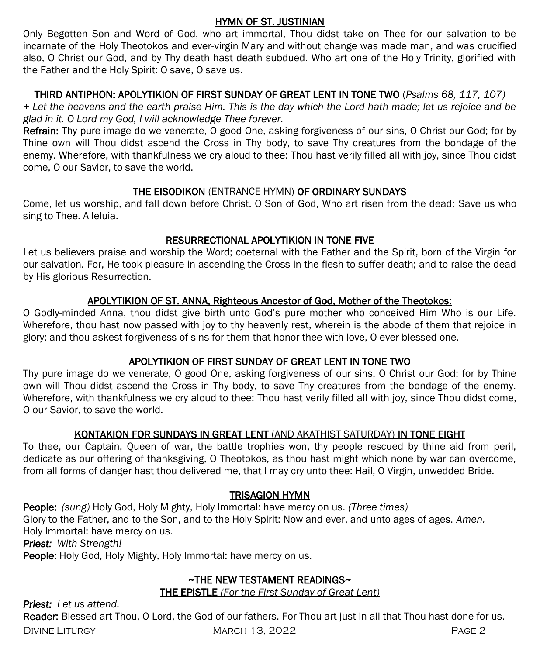#### HYMN OF ST. JUSTINIAN

Only Begotten Son and Word of God, who art immortal, Thou didst take on Thee for our salvation to be incarnate of the Holy Theotokos and ever-virgin Mary and without change was made man, and was crucified also, O Christ our God, and by Thy death hast death subdued. Who art one of the Holy Trinity, glorified with the Father and the Holy Spirit: O save, O save us.

#### THIRD ANTIPHON: APOLYTIKION OF FIRST SUNDAY OF GREAT LENT IN TONE TWO (*Psalms 68, 117, 107)*

*+ Let the heavens and the earth praise Him. This is the day which the Lord hath made; let us rejoice and be glad in it. O Lord my God, I will acknowledge Thee forever.*

Refrain: Thy pure image do we venerate, O good One, asking forgiveness of our sins, O Christ our God; for by Thine own will Thou didst ascend the Cross in Thy body, to save Thy creatures from the bondage of the enemy. Wherefore, with thankfulness we cry aloud to thee: Thou hast verily filled all with joy, since Thou didst come, O our Savior, to save the world.

#### THE EISODIKON (ENTRANCE HYMN) OF ORDINARY SUNDAYS

Come, let us worship, and fall down before Christ. O Son of God, Who art risen from the dead; Save us who sing to Thee. Alleluia.

#### RESURRECTIONAL APOLYTIKION IN TONE FIVE

Let us believers praise and worship the Word; coeternal with the Father and the Spirit, born of the Virgin for our salvation. For, He took pleasure in ascending the Cross in the flesh to suffer death; and to raise the dead by His glorious Resurrection.

#### APOLYTIKION OF ST. ANNA, Righteous Ancestor of God, Mother of the Theotokos:

O Godly-minded Anna, thou didst give birth unto God's pure mother who conceived Him Who is our Life. Wherefore, thou hast now passed with joy to thy heavenly rest, wherein is the abode of them that rejoice in glory; and thou askest forgiveness of sins for them that honor thee with love, O ever blessed one.

#### APOLYTIKION OF FIRST SUNDAY OF GREAT LENT IN TONE TWO

Thy pure image do we venerate, O good One, asking forgiveness of our sins, O Christ our God; for by Thine own will Thou didst ascend the Cross in Thy body, to save Thy creatures from the bondage of the enemy. Wherefore, with thankfulness we cry aloud to thee: Thou hast verily filled all with joy, since Thou didst come, O our Savior, to save the world.

#### KONTAKION FOR SUNDAYS IN GREAT LENT (AND AKATHIST SATURDAY) IN TONE EIGHT

To thee, our Captain, Queen of war, the battle trophies won, thy people rescued by thine aid from peril, dedicate as our offering of thanksgiving, O Theotokos, as thou hast might which none by war can overcome, from all forms of danger hast thou delivered me, that I may cry unto thee: Hail, O Virgin, unwedded Bride.

#### TRISAGION HYMN

People: *(sung)* Holy God, Holy Mighty, Holy Immortal: have mercy on us. *(Three times)*  Glory to the Father, and to the Son, and to the Holy Spirit: Now and ever, and unto ages of ages. *Amen.*  Holy Immortal: have mercy on us.

*Priest: With Strength!*

People: Holy God, Holy Mighty, Holy Immortal: have mercy on us.

### ~THE NEW TESTAMENT READINGS~

THE EPISTLE *(For the First Sunday of Great Lent)* 

*Priest: Let us attend.*

Reader: Blessed art Thou, O Lord, the God of our fathers. For Thou art just in all that Thou hast done for us.

DIVINE LITURGY CONTROLLEY MARCH 13, 2022 CONTROLLEY AND RESEXT AND RESEXT AND MARCH 13, 2022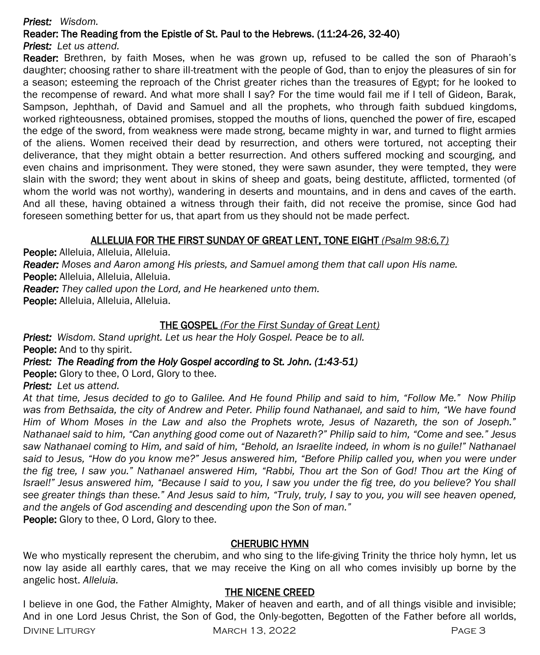#### *Priest: Wisdom.*

#### Reader: The Reading from the Epistle of St. Paul to the Hebrews. (11:24-26, 32-40)

#### *Priest: Let us attend.*

Reader: Brethren, by faith Moses, when he was grown up, refused to be called the son of Pharaoh's daughter; choosing rather to share ill-treatment with the people of God, than to enjoy the pleasures of sin for a season; esteeming the reproach of the Christ greater riches than the treasures of Egypt; for he looked to the recompense of reward. And what more shall I say? For the time would fail me if I tell of Gideon, Barak, Sampson, Jephthah, of David and Samuel and all the prophets, who through faith subdued kingdoms, worked righteousness, obtained promises, stopped the mouths of lions, quenched the power of fire, escaped the edge of the sword, from weakness were made strong, became mighty in war, and turned to flight armies of the aliens. Women received their dead by resurrection, and others were tortured, not accepting their deliverance, that they might obtain a better resurrection. And others suffered mocking and scourging, and even chains and imprisonment. They were stoned, they were sawn asunder, they were tempted, they were slain with the sword; they went about in skins of sheep and goats, being destitute, afflicted, tormented (of whom the world was not worthy), wandering in deserts and mountains, and in dens and caves of the earth. And all these, having obtained a witness through their faith, did not receive the promise, since God had foreseen something better for us, that apart from us they should not be made perfect.

#### ALLELUIA FOR THE FIRST SUNDAY OF GREAT LENT, TONE EIGHT *(Psalm 98:6,7)*

People: Alleluia, Alleluia, Alleluia.

*Reader: Moses and Aaron among His priests, and Samuel among them that call upon His name.*

People: Alleluia, Alleluia, Alleluia.

*Reader: They called upon the Lord, and He hearkened unto them.*

People: Alleluia, Alleluia, Alleluia.

#### THE GOSPEL *(For the First Sunday of Great Lent)*

*Priest: Wisdom. Stand upright. Let us hear the Holy Gospel. Peace be to all.* People: And to thy spirit.

#### *Priest: The Reading from the Holy Gospel according to St. John. (1:43-51)*

**People:** Glory to thee, O Lord, Glory to thee.

*Priest: Let us attend.* 

*At that time, Jesus decided to go to Galilee. And He found Philip and said to him, "Follow Me." Now Philip was from Bethsaida, the city of Andrew and Peter. Philip found Nathanael, and said to him, "We have found Him of Whom Moses in the Law and also the Prophets wrote, Jesus of Nazareth, the son of Joseph." Nathanael said to him, "Can anything good come out of Nazareth?" Philip said to him, "Come and see." Jesus*  saw Nathanael coming to Him, and said of him, "Behold, an Israelite indeed, in whom is no guile!" Nathanael *said to Jesus, "How do you know me?" Jesus answered him, "Before Philip called you, when you were under the fig tree, I saw you." Nathanael answered Him, "Rabbi, Thou art the Son of God! Thou art the King of Israel!" Jesus answered him, "Because I said to you, I saw you under the fig tree, do you believe? You shall see greater things than these." And Jesus said to him, "Truly, truly, I say to you, you will see heaven opened, and the angels of God ascending and descending upon the Son of man."*

People: Glory to thee, O Lord, Glory to thee.

#### CHERUBIC HYMN

We who mystically represent the cherubim, and who sing to the life-giving Trinity the thrice holy hymn, let us now lay aside all earthly cares, that we may receive the King on all who comes invisibly up borne by the angelic host. *Alleluia.*

#### THE NICENE CREED

I believe in one God, the Father Almighty, Maker of heaven and earth, and of all things visible and invisible; And in one Lord Jesus Christ, the Son of God, the Only-begotten, Begotten of the Father before all worlds,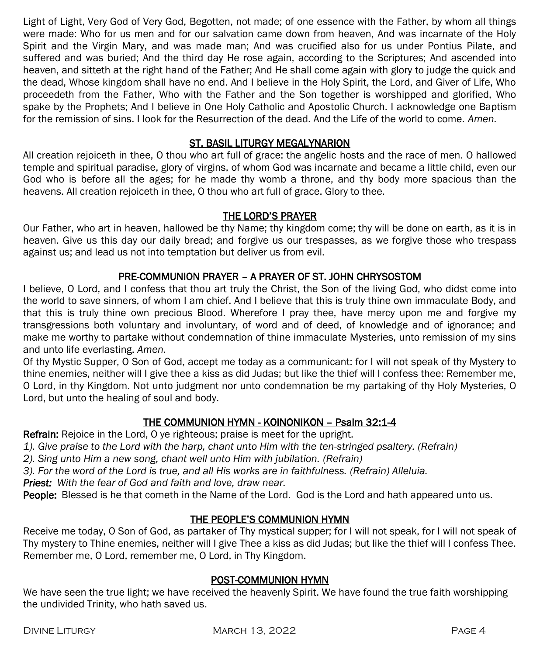Light of Light, Very God of Very God, Begotten, not made; of one essence with the Father, by whom all things were made: Who for us men and for our salvation came down from heaven, And was incarnate of the Holy Spirit and the Virgin Mary, and was made man; And was crucified also for us under Pontius Pilate, and suffered and was buried; And the third day He rose again, according to the Scriptures; And ascended into heaven, and sitteth at the right hand of the Father; And He shall come again with glory to judge the quick and the dead, Whose kingdom shall have no end. And I believe in the Holy Spirit, the Lord, and Giver of Life, Who proceedeth from the Father, Who with the Father and the Son together is worshipped and glorified, Who spake by the Prophets; And I believe in One Holy Catholic and Apostolic Church. I acknowledge one Baptism for the remission of sins. I look for the Resurrection of the dead. And the Life of the world to come. *Amen.*

#### ST. BASIL LITURGY MEGALYNARION

All creation rejoiceth in thee, O thou who art full of grace: the angelic hosts and the race of men. O hallowed temple and spiritual paradise, glory of virgins, of whom God was incarnate and became a little child, even our God who is before all the ages; for he made thy womb a throne, and thy body more spacious than the heavens. All creation rejoiceth in thee, O thou who art full of grace. Glory to thee.

#### THE LORD'S PRAYER

Our Father, who art in heaven, hallowed be thy Name; thy kingdom come; thy will be done on earth, as it is in heaven. Give us this day our daily bread; and forgive us our trespasses, as we forgive those who trespass against us; and lead us not into temptation but deliver us from evil.

#### PRE-COMMUNION PRAYER – A PRAYER OF ST. JOHN CHRYSOSTOM

I believe, O Lord, and I confess that thou art truly the Christ, the Son of the living God, who didst come into the world to save sinners, of whom I am chief. And I believe that this is truly thine own immaculate Body, and that this is truly thine own precious Blood. Wherefore I pray thee, have mercy upon me and forgive my transgressions both voluntary and involuntary, of word and of deed, of knowledge and of ignorance; and make me worthy to partake without condemnation of thine immaculate Mysteries, unto remission of my sins and unto life everlasting. *Amen.*

Of thy Mystic Supper, O Son of God, accept me today as a communicant: for I will not speak of thy Mystery to thine enemies, neither will I give thee a kiss as did Judas; but like the thief will I confess thee: Remember me, O Lord, in thy Kingdom. Not unto judgment nor unto condemnation be my partaking of thy Holy Mysteries, O Lord, but unto the healing of soul and body.

#### THE COMMUNION HYMN - KOINONIKON – Psalm 32:1-4

Refrain: Rejoice in the Lord, O ye righteous; praise is meet for the upright.

*1). Give praise to the Lord with the harp, chant unto Him with the ten-stringed psaltery. (Refrain)*

- *2). Sing unto Him a new song, chant well unto Him with jubilation. (Refrain)*
- *3). For the word of the Lord is true, and all His works are in faithfulness. (Refrain) Alleluia.*

*Priest: With the fear of God and faith and love, draw near.*

People: Blessed is he that cometh in the Name of the Lord. God is the Lord and hath appeared unto us.

#### THE PEOPLE'S COMMUNION HYMN

Receive me today, O Son of God, as partaker of Thy mystical supper; for I will not speak, for I will not speak of Thy mystery to Thine enemies, neither will I give Thee a kiss as did Judas; but like the thief will I confess Thee. Remember me, O Lord, remember me, O Lord, in Thy Kingdom.

#### POST-COMMUNION HYMN

We have seen the true light; we have received the heavenly Spirit. We have found the true faith worshipping the undivided Trinity, who hath saved us.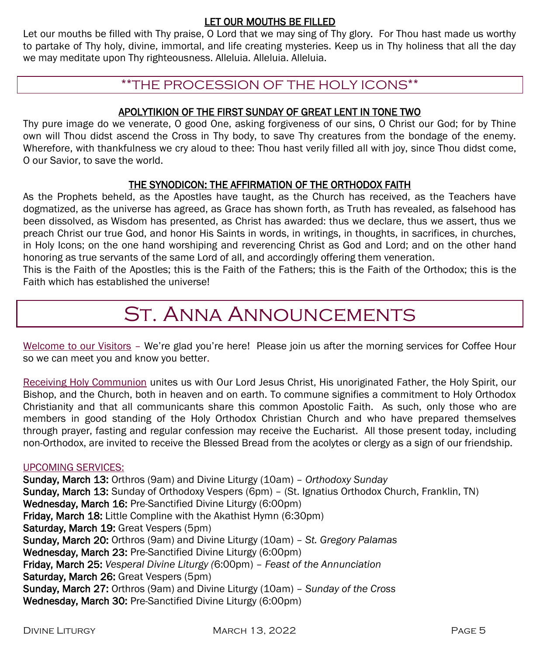#### LET OUR MOUTHS BE FILLED

Let our mouths be filled with Thy praise, O Lord that we may sing of Thy glory. For Thou hast made us worthy to partake of Thy holy, divine, immortal, and life creating mysteries. Keep us in Thy holiness that all the day we may meditate upon Thy righteousness. Alleluia. Alleluia. Alleluia.

# \*\*THE PROCESSION OF THE HOLY ICONS\*\*

#### APOLYTIKION OF THE FIRST SUNDAY OF GREAT LENT IN TONE TWO

Thy pure image do we venerate, O good One, asking forgiveness of our sins, O Christ our God; for by Thine own will Thou didst ascend the Cross in Thy body, to save Thy creatures from the bondage of the enemy. Wherefore, with thankfulness we cry aloud to thee: Thou hast verily filled all with joy, since Thou didst come, O our Savior, to save the world.

#### THE SYNODICON: THE AFFIRMATION OF THE ORTHODOX FAITH

As the Prophets beheld, as the Apostles have taught, as the Church has received, as the Teachers have dogmatized, as the universe has agreed, as Grace has shown forth, as Truth has revealed, as falsehood has been dissolved, as Wisdom has presented, as Christ has awarded: thus we declare, thus we assert, thus we preach Christ our true God, and honor His Saints in words, in writings, in thoughts, in sacrifices, in churches, in Holy Icons; on the one hand worshiping and reverencing Christ as God and Lord; and on the other hand honoring as true servants of the same Lord of all, and accordingly offering them veneration.

This is the Faith of the Apostles; this is the Faith of the Fathers; this is the Faith of the Orthodox; this is the Faith which has established the universe!

# St. Anna Announcements

Welcome to our Visitors – We're glad you're here! Please join us after the morning services for Coffee Hour so we can meet you and know you better.

Receiving Holy Communion unites us with Our Lord Jesus Christ, His unoriginated Father, the Holy Spirit, our Bishop, and the Church, both in heaven and on earth. To commune signifies a commitment to Holy Orthodox Christianity and that all communicants share this common Apostolic Faith. As such, only those who are members in good standing of the Holy Orthodox Christian Church and who have prepared themselves through prayer, fasting and regular confession may receive the Eucharist. All those present today, including non-Orthodox, are invited to receive the Blessed Bread from the acolytes or clergy as a sign of our friendship.

#### UPCOMING SERVICES:

Sunday, March 13: Orthros (9am) and Divine Liturgy (10am) – *Orthodoxy Sunday* Sunday, March 13: Sunday of Orthodoxy Vespers (6pm) - (St. Ignatius Orthodox Church, Franklin, TN) Wednesday, March 16: Pre-Sanctified Divine Liturgy (6:00pm) Friday, March 18: Little Compline with the Akathist Hymn (6:30pm) Saturday, March 19: Great Vespers (5pm) Sunday, March 20: Orthros (9am) and Divine Liturgy (10am) – *St. Gregory Palamas* Wednesday, March 23: Pre-Sanctified Divine Liturgy (6:00pm) Friday, March 25: *Vesperal Divine Liturgy (*6:00pm) – *Feast of the Annunciation* Saturday, March 26: Great Vespers (5pm) Sunday, March 27: Orthros (9am) and Divine Liturgy (10am) – *Sunday of the Cross* Wednesday, March 30: Pre-Sanctified Divine Liturgy (6:00pm)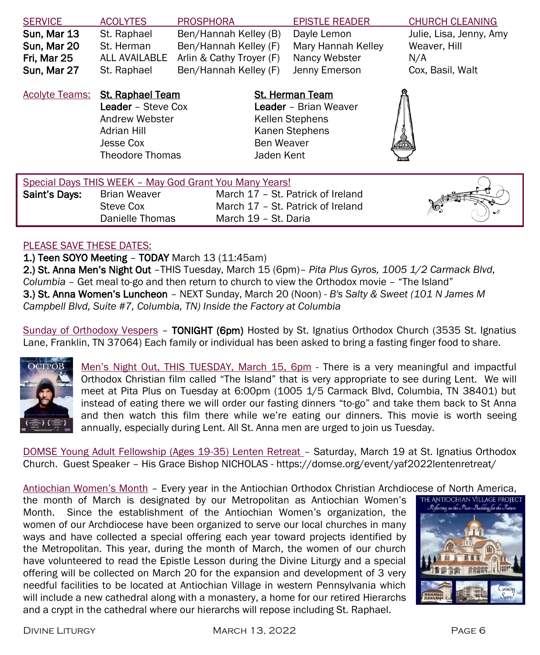| <b>SERVICE</b>        | <b>ACOLYTES</b>                                                                                                       | <b>PROSPHORA</b>         |                          | <b>EPISTLE READER</b>                                                                | <b>CHURCH CLEANING</b>  |
|-----------------------|-----------------------------------------------------------------------------------------------------------------------|--------------------------|--------------------------|--------------------------------------------------------------------------------------|-------------------------|
| Sun, Mar 13           | St. Raphael                                                                                                           | Ben/Hannah Kelley (B)    |                          | Dayle Lemon                                                                          | Julie, Lisa, Jenny, Amy |
| Sun, Mar 20           | St. Herman                                                                                                            | Ben/Hannah Kelley (F)    |                          | Mary Hannah Kelley                                                                   | Weaver, Hill            |
| Fri. Mar 25           | ALL AVAILABLE                                                                                                         | Arlin & Cathy Troyer (F) |                          | Nancy Webster                                                                        | N/A                     |
| Sun, Mar 27           | St. Raphael                                                                                                           | Ben/Hannah Kelley (F)    |                          | Jenny Emerson                                                                        | Cox, Basil, Walt        |
| <b>Acolyte Teams:</b> | <b>St. Raphael Team</b><br>Leader - Steve Cox<br>Andrew Webster<br>Adrian Hill<br>Jesse Cox<br><b>Theodore Thomas</b> |                          | Ben Weaver<br>Jaden Kent | <b>St. Herman Team</b><br>Leader - Brian Weaver<br>Kellen Stephens<br>Kanen Stephens | å                       |
|                       |                                                                                                                       |                          |                          |                                                                                      |                         |

| Special Days THIS WEEK - May God Grant You Many Years! |                                              |                                                                                                |  |
|--------------------------------------------------------|----------------------------------------------|------------------------------------------------------------------------------------------------|--|
| Saint's Days:                                          | Brian Weaver<br>Steve Cox<br>Danielle Thomas | March 17 - St. Patrick of Ireland<br>March 17 - St. Patrick of Ireland<br>March 19 - St. Daria |  |

#### PLEASE SAVE THESE DATES:

1.) Teen SOYO Meeting – TODAY March 13 (11:45am)

2.) St. Anna Men's Night Out –THIS Tuesday, March 15 (6pm)– *Pita Plus Gyros, 1005 1/2 Carmack Blvd, Columbia –* Get meal to-go and then return to church to view the Orthodox movie – "The Island" 3.) St. Anna Women's Luncheon – NEXT Sunday, March 20 (Noon) - *B's Salty & Sweet (101 N James M Campbell Blvd, Suite #7, Columbia, TN) Inside the Factory at Columbia*

Sunday of Orthodoxy Vespers - TONIGHT (6pm) Hosted by St. Ignatius Orthodox Church (3535 St. Ignatius Lane, Franklin, TN 37064) Each family or individual has been asked to bring a fasting finger food to share.



Men's Night Out, THIS TUESDAY, March 15, 6pm - There is a very meaningful and impactful Orthodox Christian film called "The Island" that is very appropriate to see during Lent. We will meet at Pita Plus on Tuesday at 6:00pm (1005 1/5 Carmack Blvd, Columbia, TN 38401) but instead of eating there we will order our fasting dinners "to-go" and take them back to St Anna and then watch this film there while we're eating our dinners. This movie is worth seeing annually, especially during Lent. All St. Anna men are urged to join us Tuesday.

DOMSE Young Adult Fellowship (Ages 19-35) Lenten Retreat – Saturday, March 19 at St. Ignatius Orthodox Church. Guest Speaker – His Grace Bishop NICHOLAS - https://domse.org/event/yaf2022lentenretreat/

Antiochian Women's Month – Every year in the Antiochian Orthodox Christian Archdiocese of North America,

the month of March is designated by our Metropolitan as Antiochian Women's Month. Since the establishment of the Antiochian Women's organization, the women of our Archdiocese have been organized to serve our local churches in many ways and have collected a special offering each year toward projects identified by the Metropolitan. This year, during the month of March, the women of our church have volunteered to read the Epistle Lesson during the Divine Liturgy and a special offering will be collected on March 20 for the expansion and development of 3 very needful facilities to be located at Antiochian Village in western Pennsylvania which will include a new cathedral along with a monastery, a home for our retired Hierarchs and a crypt in the cathedral where our hierarchs will repose including St. Raphael.

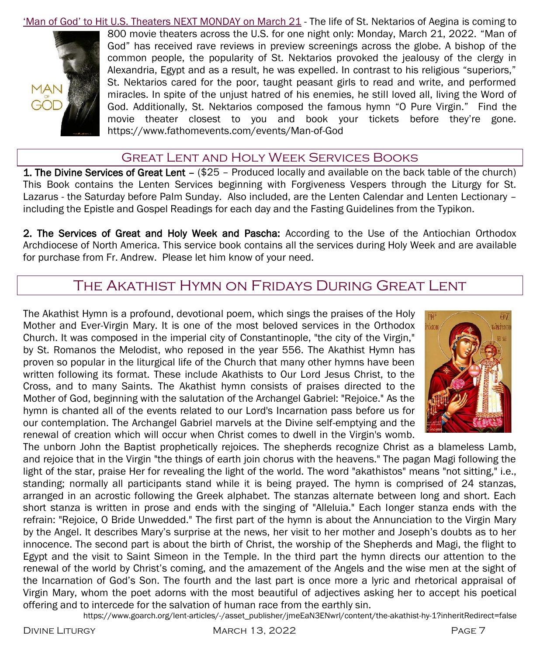'Man of God' to Hit U.S. Theaters NEXT MONDAY on March 21 - The life of St. Nektarios of Aegina is coming to



800 movie theaters across the U.S. for one night only: Monday, March 21, 2022. "Man of God" has received rave reviews in preview screenings across the globe. A bishop of the common people, the popularity of St. Nektarios provoked the jealousy of the clergy in Alexandria, Egypt and as a result, he was expelled. In contrast to his religious "superiors," St. Nektarios cared for the poor, taught peasant girls to read and write, and performed miracles. In spite of the unjust hatred of his enemies, he still loved all, living the Word of God. Additionally, St. Nektarios composed the famous hymn "O Pure Virgin." Find the movie theater closest to you and book your tickets before they're gone. https://www.fathomevents.com/events/Man-of-God

### Great Lent and Holy Week Services Books

1. The Divine Services of Great Lent – (\$25 - Produced locally and available on the back table of the church) This Book contains the Lenten Services beginning with Forgiveness Vespers through the Liturgy for St. Lazarus - the Saturday before Palm Sunday. Also included, are the Lenten Calendar and Lenten Lectionary – including the Epistle and Gospel Readings for each day and the Fasting Guidelines from the Typikon.

2. The Services of Great and Holy Week and Pascha: According to the Use of the Antiochian Orthodox Archdiocese of North America. This service book contains all the services during Holy Week and are available for purchase from Fr. Andrew. Please let him know of your need.

# The Akathist Hymn on Fridays During Great Lent

The Akathist Hymn is a profound, devotional poem, which sings the praises of the Holy Mother and Ever-Virgin Mary. It is one of the most beloved services in the Orthodox Church. It was composed in the imperial city of Constantinople, "the city of the Virgin," by St. Romanos the Melodist, who reposed in the year 556. The Akathist Hymn has proven so popular in the liturgical life of the Church that many other hymns have been written following its format. These include Akathists to Our Lord Jesus Christ, to the Cross, and to many Saints. The Akathist hymn consists of praises directed to the Mother of God, beginning with the salutation of the Archangel Gabriel: "Rejoice." As the hymn is chanted all of the events related to our Lord's Incarnation pass before us for our contemplation. The Archangel Gabriel marvels at the Divine self-emptying and the renewal of creation which will occur when Christ comes to dwell in the Virgin's womb.



The unborn John the Baptist prophetically rejoices. The shepherds recognize Christ as a blameless Lamb, and rejoice that in the Virgin "the things of earth join chorus with the heavens." The pagan Magi following the light of the star, praise Her for revealing the light of the world. The word "akathistos" means "not sitting," i.e., standing; normally all participants stand while it is being prayed. The hymn is comprised of 24 stanzas, arranged in an acrostic following the Greek alphabet. The stanzas alternate between long and short. Each short stanza is written in prose and ends with the singing of "Alleluia." Each longer stanza ends with the refrain: "Rejoice, O Bride Unwedded." The first part of the hymn is about the Annunciation to the Virgin Mary by the Angel. It describes Mary's surprise at the news, her visit to her mother and Joseph's doubts as to her innocence. The second part is about the birth of Christ, the worship of the Shepherds and Magi, the flight to Egypt and the visit to Saint Simeon in the Temple. In the third part the hymn directs our attention to the renewal of the world by Christ's coming, and the amazement of the Angels and the wise men at the sight of the Incarnation of God's Son. The fourth and the last part is once more a lyric and rhetorical appraisal of Virgin Mary, whom the poet adorns with the most beautiful of adjectives asking her to accept his poetical offering and to intercede for the salvation of human race from the earthly sin.

https://www.goarch.org/lent-articles/-/asset\_publisher/jmeEaN3ENwrl/content/the-akathist-hy-1?inheritRedirect=false